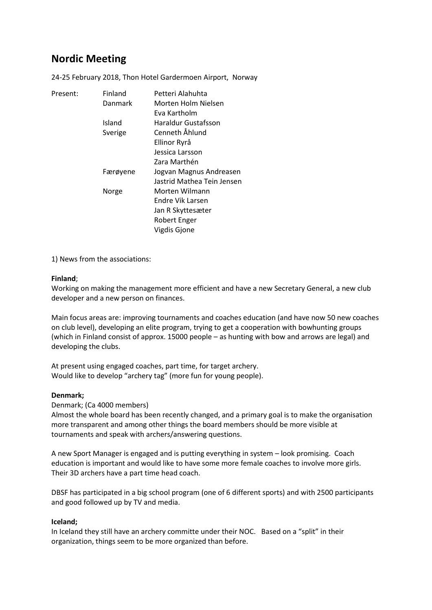# **Nordic Meeting**

24-25 February 2018, Thon Hotel Gardermoen Airport, Norway

| Present: | Finland  | Petteri Alahuhta           |
|----------|----------|----------------------------|
|          | Danmark  | Morten Holm Nielsen        |
|          |          | Eva Kartholm               |
|          | Island   | Haraldur Gustafsson        |
|          | Sverige  | Cenneth Åhlund             |
|          |          | Ellinor Ryrå               |
|          |          | Jessica Larsson            |
|          |          | Zara Marthén               |
|          | Færøyene | Jogvan Magnus Andreasen    |
|          |          | Jastrid Mathea Tein Jensen |
|          | Norge    | Morten Wilmann             |
|          |          | Endre Vik Larsen           |
|          |          | Jan R Skyttesæter          |
|          |          | <b>Robert Enger</b>        |
|          |          | Vigdis Gjone               |

1) News from the associations:

### **Finland**;

Working on making the management more efficient and have a new Secretary General, a new club developer and a new person on finances.

Main focus areas are: improving tournaments and coaches education (and have now 50 new coaches on club level), developing an elite program, trying to get a cooperation with bowhunting groups (which in Finland consist of approx. 15000 people – as hunting with bow and arrows are legal) and developing the clubs.

At present using engaged coaches, part time, for target archery. Would like to develop "archery tag" (more fun for young people).

### **Denmark;**

Denmark; (Ca 4000 members)

Almost the whole board has been recently changed, and a primary goal is to make the organisation more transparent and among other things the board members should be more visible at tournaments and speak with archers/answering questions.

A new Sport Manager is engaged and is putting everything in system – look promising. Coach education is important and would like to have some more female coaches to involve more girls. Their 3D archers have a part time head coach.

DBSF has participated in a big school program (one of 6 different sports) and with 2500 participants and good followed up by TV and media.

### **Iceland;**

In Iceland they still have an archery committe under their NOC. Based on a "split" in their organization, things seem to be more organized than before.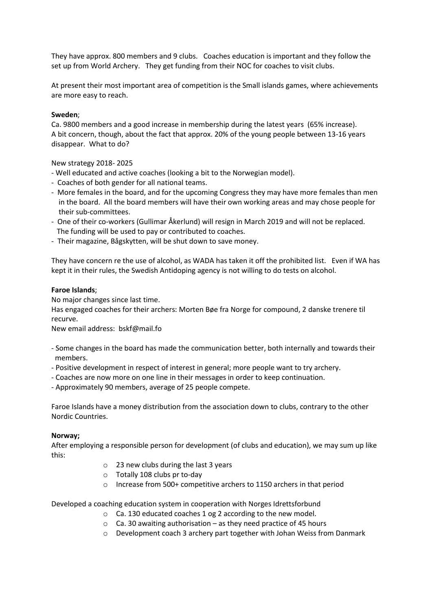They have approx. 800 members and 9 clubs. Coaches education is important and they follow the set up from World Archery. They get funding from their NOC for coaches to visit clubs.

At present their most important area of competition is the Small islands games, where achievements are more easy to reach.

## **Sweden**;

Ca. 9800 members and a good increase in membership during the latest years (65% increase). A bit concern, though, about the fact that approx. 20% of the young people between 13-16 years disappear. What to do?

New strategy 2018- 2025

- Well educated and active coaches (looking a bit to the Norwegian model).
- Coaches of both gender for all national teams.
- More females in the board, and for the upcoming Congress they may have more females than men in the board. All the board members will have their own working areas and may chose people for their sub-committees.
- One of their co-workers (Gullimar Åkerlund) will resign in March 2019 and will not be replaced. The funding will be used to pay or contributed to coaches.
- Their magazine, Bågskytten, will be shut down to save money.

They have concern re the use of alcohol, as WADA has taken it off the prohibited list. Even if WA has kept it in their rules, the Swedish Antidoping agency is not willing to do tests on alcohol.

### **Faroe Islands**;

No major changes since last time.

Has engaged coaches for their archers: Morten Bøe fra Norge for compound, 2 danske trenere til recurve.

New email address: bskf@mail.fo

- Some changes in the board has made the communication better, both internally and towards their members.
- Positive development in respect of interest in general; more people want to try archery.
- Coaches are now more on one line in their messages in order to keep continuation.
- Approximately 90 members, average of 25 people compete.

Faroe Islands have a money distribution from the association down to clubs, contrary to the other Nordic Countries.

### **Norway;**

After employing a responsible person for development (of clubs and education), we may sum up like this:

- o 23 new clubs during the last 3 years
- o Totally 108 clubs pr to-day
- o Increase from 500+ competitive archers to 1150 archers in that period

Developed a coaching education system in cooperation with Norges Idrettsforbund

- o Ca. 130 educated coaches 1 og 2 according to the new model.
- $\circ$  Ca. 30 awaiting authorisation as they need practice of 45 hours
- o Development coach 3 archery part together with Johan Weiss from Danmark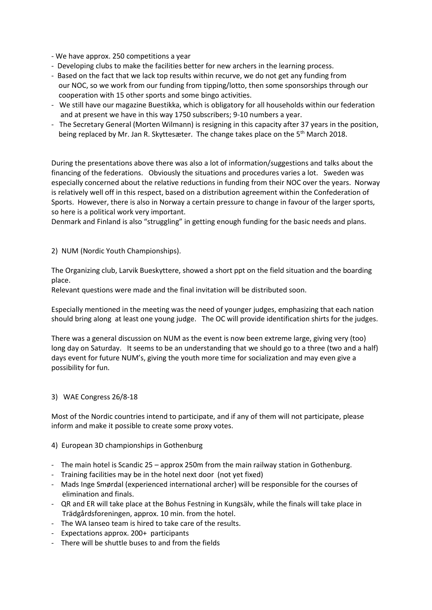- We have approx. 250 competitions a year

- Developing clubs to make the facilities better for new archers in the learning process.
- Based on the fact that we lack top results within recurve, we do not get any funding from our NOC, so we work from our funding from tipping/lotto, then some sponsorships through our cooperation with 15 other sports and some bingo activities.
- We still have our magazine Buestikka, which is obligatory for all households within our federation and at present we have in this way 1750 subscribers; 9-10 numbers a year.
- The Secretary General (Morten Wilmann) is resigning in this capacity after 37 years in the position, being replaced by Mr. Jan R. Skyttesæter. The change takes place on the 5th March 2018.

During the presentations above there was also a lot of information/suggestions and talks about the financing of the federations. Obviously the situations and procedures varies a lot. Sweden was especially concerned about the relative reductions in funding from their NOC over the years. Norway is relatively well off in this respect, based on a distribution agreement within the Confederation of Sports. However, there is also in Norway a certain pressure to change in favour of the larger sports, so here is a political work very important.

Denmark and Finland is also "struggling" in getting enough funding for the basic needs and plans.

### 2) NUM (Nordic Youth Championships).

The Organizing club, Larvik Bueskyttere, showed a short ppt on the field situation and the boarding place.

Relevant questions were made and the final invitation will be distributed soon.

Especially mentioned in the meeting was the need of younger judges, emphasizing that each nation should bring along at least one young judge. The OC will provide identification shirts for the judges.

There was a general discussion on NUM as the event is now been extreme large, giving very (too) long day on Saturday. It seems to be an understanding that we should go to a three (two and a half) days event for future NUM's, giving the youth more time for socialization and may even give a possibility for fun.

### 3) WAE Congress 26/8-18

Most of the Nordic countries intend to participate, and if any of them will not participate, please inform and make it possible to create some proxy votes.

### 4) European 3D championships in Gothenburg

- The main hotel is Scandic 25 approx 250m from the main railway station in Gothenburg.
- Training facilities may be in the hotel next door (not yet fixed)
- Mads Inge Smørdal (experienced international archer) will be responsible for the courses of elimination and finals.
- QR and ER will take place at the Bohus Festning in Kungsälv, while the finals will take place in Trädgårdsforeningen, approx. 10 min. from the hotel.
- The WA Ianseo team is hired to take care of the results.
- Expectations approx. 200+ participants
- There will be shuttle buses to and from the fields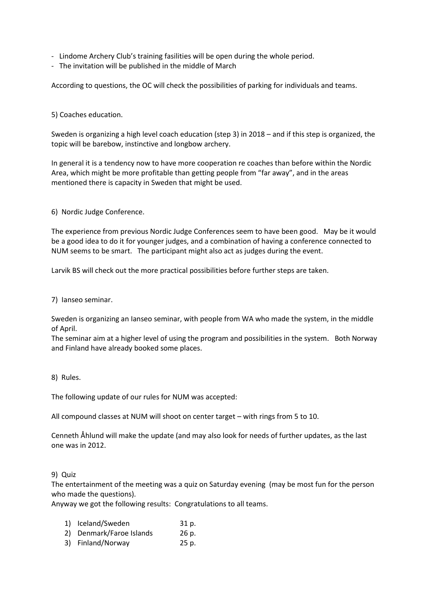- Lindome Archery Club's training fasilities will be open during the whole period.
- The invitation will be published in the middle of March

According to questions, the OC will check the possibilities of parking for individuals and teams.

5) Coaches education.

Sweden is organizing a high level coach education (step 3) in 2018 – and if this step is organized, the topic will be barebow, instinctive and longbow archery.

In general it is a tendency now to have more cooperation re coaches than before within the Nordic Area, which might be more profitable than getting people from "far away", and in the areas mentioned there is capacity in Sweden that might be used.

6) Nordic Judge Conference.

The experience from previous Nordic Judge Conferences seem to have been good. May be it would be a good idea to do it for younger judges, and a combination of having a conference connected to NUM seems to be smart. The participant might also act as judges during the event.

Larvik BS will check out the more practical possibilities before further steps are taken.

7) Ianseo seminar.

Sweden is organizing an Ianseo seminar, with people from WA who made the system, in the middle of April.

The seminar aim at a higher level of using the program and possibilities in the system. Both Norway and Finland have already booked some places.

8) Rules.

The following update of our rules for NUM was accepted:

All compound classes at NUM will shoot on center target – with rings from 5 to 10.

Cenneth Åhlund will make the update (and may also look for needs of further updates, as the last one was in 2012.

### 9) Quiz

The entertainment of the meeting was a quiz on Saturday evening (may be most fun for the person who made the questions).

Anyway we got the following results: Congratulations to all teams.

- 1) Iceland/Sweden 31 p.
- 2) Denmark/Faroe Islands 26 p.
- 3) Finland/Norway 25 p.